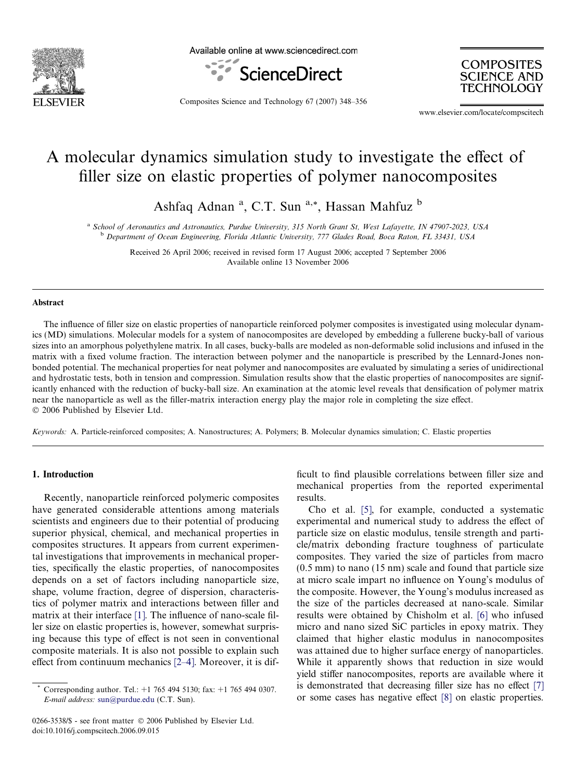

Available online at www.sciencedirect.com



**COMPOSITES** SCIENCE AND **TECHNOLOGY** 

Composites Science and Technology 67 (2007) 348–356

www.elsevier.com/locate/compscitech

# A molecular dynamics simulation study to investigate the effect of filler size on elastic properties of polymer nanocomposites

Ashfaq Adnan<sup>a</sup>, C.T. Sun<sup>a,\*</sup>, Hassan Mahfuz <sup>b</sup>

a School of Aeronautics and Astronautics, Purdue University, 315 North Grant St, West Lafayette, IN 47907-2023, USA <sup>b</sup> Department of Ocean Engineering, Florida Atlantic University, 777 Glades Road, Boca Raton, FL 33431, USA

Received 26 April 2006; received in revised form 17 August 2006; accepted 7 September 2006 Available online 13 November 2006

### Abstract

The influence of filler size on elastic properties of nanoparticle reinforced polymer composites is investigated using molecular dynamics (MD) simulations. Molecular models for a system of nanocomposites are developed by embedding a fullerene bucky-ball of various sizes into an amorphous polyethylene matrix. In all cases, bucky-balls are modeled as non-deformable solid inclusions and infused in the matrix with a fixed volume fraction. The interaction between polymer and the nanoparticle is prescribed by the Lennard-Jones nonbonded potential. The mechanical properties for neat polymer and nanocomposites are evaluated by simulating a series of unidirectional and hydrostatic tests, both in tension and compression. Simulation results show that the elastic properties of nanocomposites are significantly enhanced with the reduction of bucky-ball size. An examination at the atomic level reveals that densification of polymer matrix near the nanoparticle as well as the filler-matrix interaction energy play the major role in completing the size effect. © 2006 Published by Elsevier Ltd.

Keywords: A. Particle-reinforced composites; A. Nanostructures; A. Polymers; B. Molecular dynamics simulation; C. Elastic properties

### 1. Introduction

Recently, nanoparticle reinforced polymeric composites have generated considerable attentions among materials scientists and engineers due to their potential of producing superior physical, chemical, and mechanical properties in composites structures. It appears from current experimental investigations that improvements in mechanical properties, specifically the elastic properties, of nanocomposites depends on a set of factors including nanoparticle size, shape, volume fraction, degree of dispersion, characteristics of polymer matrix and interactions between filler and matrix at their interface [\[1\]](#page--1-0). The influence of nano-scale filler size on elastic properties is, however, somewhat surprising because this type of effect is not seen in conventional composite materials. It is also not possible to explain such effect from continuum mechanics [\[2–4\]](#page--1-0). Moreover, it is dif-

0266-3538/\$ - see front matter © 2006 Published by Elsevier Ltd. doi:10.1016/j.compscitech.2006.09.015

ficult to find plausible correlations between filler size and mechanical properties from the reported experimental results.

Cho et al. [\[5\],](#page--1-0) for example, conducted a systematic experimental and numerical study to address the effect of particle size on elastic modulus, tensile strength and particle/matrix debonding fracture toughness of particulate composites. They varied the size of particles from macro (0.5 mm) to nano (15 nm) scale and found that particle size at micro scale impart no influence on Young's modulus of the composite. However, the Young's modulus increased as the size of the particles decreased at nano-scale. Similar results were obtained by Chisholm et al. [\[6\]](#page--1-0) who infused micro and nano sized SiC particles in epoxy matrix. They claimed that higher elastic modulus in nanocomposites was attained due to higher surface energy of nanoparticles. While it apparently shows that reduction in size would yield stiffer nanocomposites, reports are available where it is demonstrated that decreasing filler size has no effect [\[7\]](#page--1-0) or some cases has negative effect [\[8\]](#page--1-0) on elastic properties.

Corresponding author. Tel.:  $+1$  765 494 5130; fax:  $+1$  765 494 0307. E-mail address: [sun@purdue.edu](mailto:sun@purdue.edu) (C.T. Sun).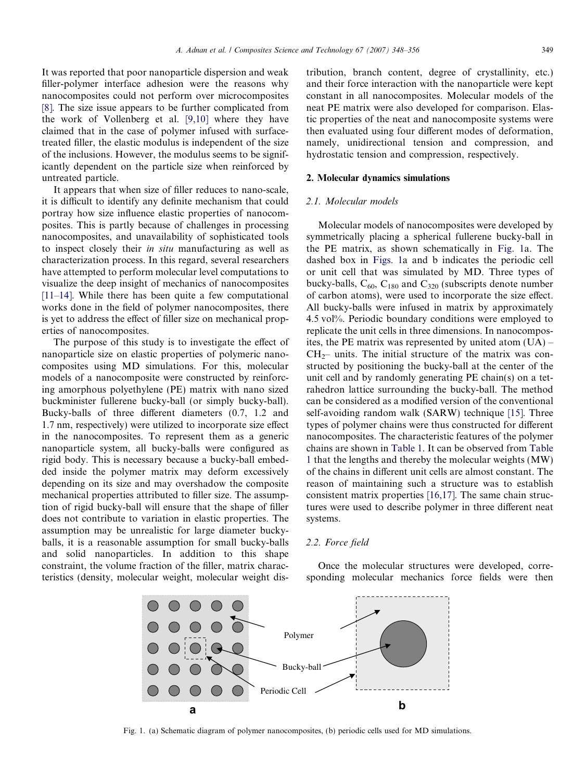It was reported that poor nanoparticle dispersion and weak filler-polymer interface adhesion were the reasons why nanocomposites could not perform over microcomposites [\[8\].](#page--1-0) The size issue appears to be further complicated from the work of Vollenberg et al. [\[9,10\]](#page--1-0) where they have claimed that in the case of polymer infused with surfacetreated filler, the elastic modulus is independent of the size of the inclusions. However, the modulus seems to be significantly dependent on the particle size when reinforced by untreated particle.

It appears that when size of filler reduces to nano-scale, it is difficult to identify any definite mechanism that could portray how size influence elastic properties of nanocomposites. This is partly because of challenges in processing nanocomposites, and unavailability of sophisticated tools to inspect closely their in situ manufacturing as well as characterization process. In this regard, several researchers have attempted to perform molecular level computations to visualize the deep insight of mechanics of nanocomposites [\[11–14\].](#page--1-0) While there has been quite a few computational works done in the field of polymer nanocomposites, there is yet to address the effect of filler size on mechanical properties of nanocomposites.

The purpose of this study is to investigate the effect of nanoparticle size on elastic properties of polymeric nanocomposites using MD simulations. For this, molecular models of a nanocomposite were constructed by reinforcing amorphous polyethylene (PE) matrix with nano sized buckminister fullerene bucky-ball (or simply bucky-ball). Bucky-balls of three different diameters (0.7, 1.2 and 1.7 nm, respectively) were utilized to incorporate size effect in the nanocomposites. To represent them as a generic nanoparticle system, all bucky-balls were configured as rigid body. This is necessary because a bucky-ball embedded inside the polymer matrix may deform excessively depending on its size and may overshadow the composite mechanical properties attributed to filler size. The assumption of rigid bucky-ball will ensure that the shape of filler does not contribute to variation in elastic properties. The assumption may be unrealistic for large diameter buckyballs, it is a reasonable assumption for small bucky-balls and solid nanoparticles. In addition to this shape constraint, the volume fraction of the filler, matrix characteristics (density, molecular weight, molecular weight distribution, branch content, degree of crystallinity, etc.) and their force interaction with the nanoparticle were kept constant in all nanocomposites. Molecular models of the neat PE matrix were also developed for comparison. Elastic properties of the neat and nanocomposite systems were then evaluated using four different modes of deformation, namely, unidirectional tension and compression, and hydrostatic tension and compression, respectively.

#### 2. Molecular dynamics simulations

## 2.1. Molecular models

Molecular models of nanocomposites were developed by symmetrically placing a spherical fullerene bucky-ball in the PE matrix, as shown schematically in Fig. 1a. The dashed box in Figs. 1a and b indicates the periodic cell or unit cell that was simulated by MD. Three types of bucky-balls,  $C_{60}$ ,  $C_{180}$  and  $C_{320}$  (subscripts denote number of carbon atoms), were used to incorporate the size effect. All bucky-balls were infused in matrix by approximately 4.5 vol%. Periodic boundary conditions were employed to replicate the unit cells in three dimensions. In nanocomposites, the PE matrix was represented by united atom  $(UA)$  –  $CH<sub>2</sub>$  units. The initial structure of the matrix was constructed by positioning the bucky-ball at the center of the unit cell and by randomly generating PE chain(s) on a tetrahedron lattice surrounding the bucky-ball. The method can be considered as a modified version of the conventional self-avoiding random walk (SARW) technique [\[15\].](#page--1-0) Three types of polymer chains were thus constructed for different nanocomposites. The characteristic features of the polymer chains are shown in [Table 1](#page--1-0). It can be observed from [Table](#page--1-0) [1](#page--1-0) that the lengths and thereby the molecular weights (MW) of the chains in different unit cells are almost constant. The reason of maintaining such a structure was to establish consistent matrix properties [\[16,17\]](#page--1-0). The same chain structures were used to describe polymer in three different neat systems.

## 2.2. Force field

Once the molecular structures were developed, corresponding molecular mechanics force fields were then



Fig. 1. (a) Schematic diagram of polymer nanocomposites, (b) periodic cells used for MD simulations.